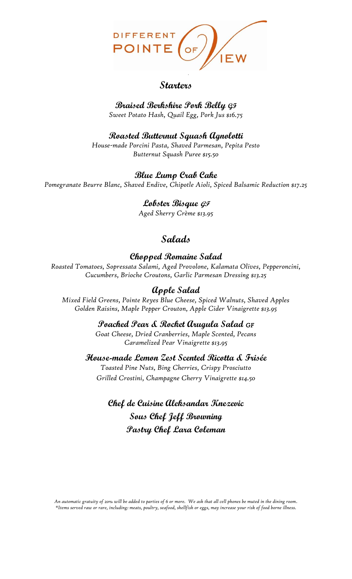

### **Starters**

**Braised Berkshire Pork Belly GF** *Sweet Potato Hash, Quail Egg, Pork Jus \$16.75*

**Roasted Butternut Squash Agnolotti** *House-made Porcini Pasta, Shaved Parmesan, Pepita Pesto Butternut Squash Puree \$15.50*

**Blue Lump Crab Cake**

*Pomegranate Beurre Blanc, Shaved Endive, Chipotle Aioli, Spiced Balsamic Reduction \$17.25*

**Lobster Bisque GF** *Aged Sherry Crème \$13.95*

# **Salads**

**Chopped Romaine Salad**

*Roasted Tomatoes, Sopressata Salami, Aged Provolone, Kalamata Olives, Pepperoncini, Cucumbers, Brioche Croutons, Garlic Parmesan Dressing \$13.25*

## **Apple Salad**

*Mixed Field Greens, Pointe Reyes Blue Cheese, Spiced Walnuts, Shaved Apples Golden Raisins, Maple Pepper Crouton, Apple Cider Vinaigrette \$13.95*

**Poached Pear & Rocket Arugula Salad** *GF*

*Goat Cheese, Dried Cranberries, Maple Scented, Pecans Caramelized Pear Vinaigrette \$13.95*

**House-made Lemon Zest Scented Ricotta & Frisée** 

*Toasted Pine Nuts, Bing Cherries, Crispy Prosciutto Grilled Crostini, Champagne Cherry Vinaigrette \$14.50*

**Chef de Cuisine Aleksandar Knezevic Sous Chef Jeff Browning Pastry Chef Lara Coleman**